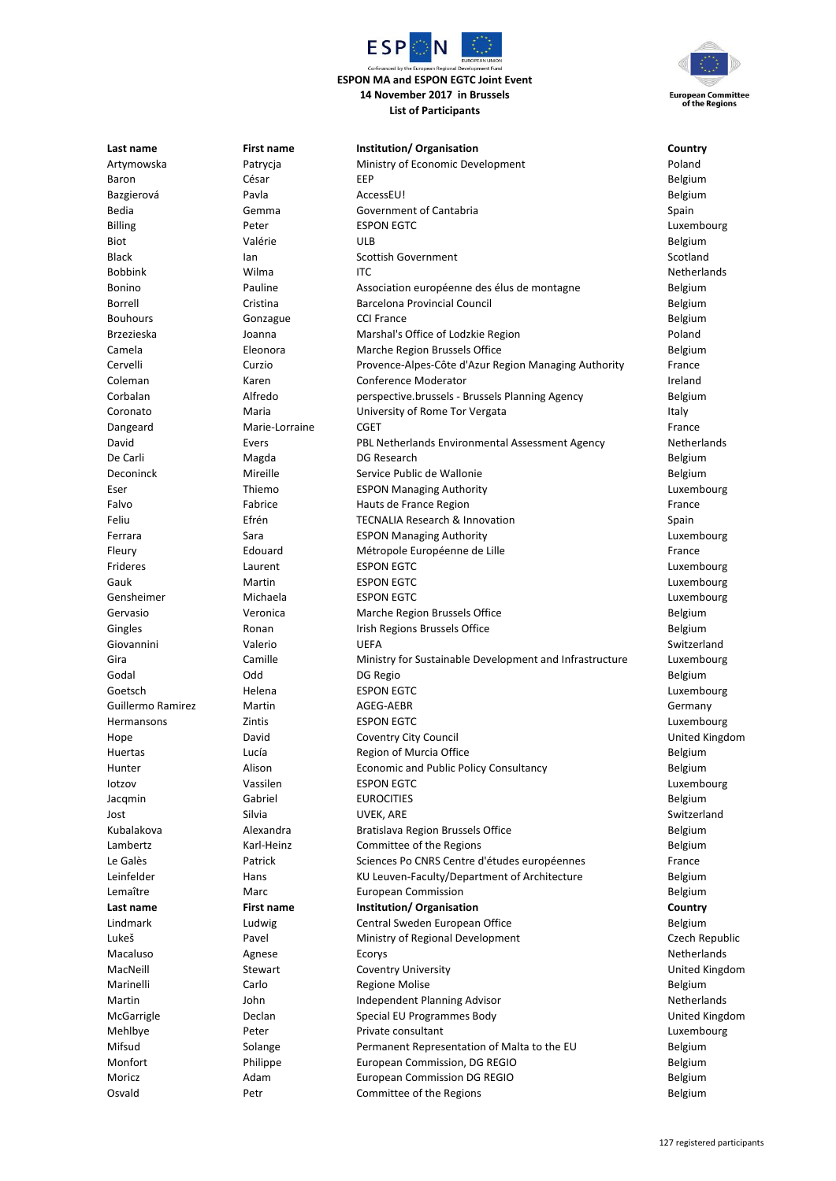

## **ESPON MA and ESPON EGTC Joint Event 14 November 2017 in Brussels List of Participants**



**Last name First name Institution/ Organisation Country** Artymowska Patrycja Ministry of Economic Development Poland Baron César EEP Belgium Bazgierová Pavla AccessEU! Belgium Bedia Gemma Government of Cantabria Spain Billing **Exponent CONTEGT EXPON EGTC** CONTEGT EXPLOSIVE CONTEGN EGGT CONTEGN EGGT CONTEGN EXPLOSIVE CONTEGN EGG Biot Valérie ULB Belgium Black Ian Scottish Government Scotland Bobbink Wilma ITC Netherlands Bonino Pauline Association européenne des élus de montagne Belgium Borrell Cristina Barcelona Provincial Council Belgium Bouhours **Gonzague CCI France** Communication COL Government COME CONTEXT CONTEXT CONTEXT CONTEXT CONTEXT Belgium Brzezieska Joanna Marshal's Office of Lodzkie Region Poland Camela Eleonora Marche Region Brussels Office Belgium Cervelli Curzio Provence-Alpes-Côte d'Azur Region Managing Authority France Coleman Karen Conference Moderator Ireland Corbalan Alfredo perspective.brussels - Brussels Planning Agency Belgium Coronato **Coronato** Maria **Coronation University of Rome Tor Vergata** Italy Dangeard **Marie-Lorraine CGET CONSIDER FRANCE** David Evers PBL Netherlands Environmental Assessment Agency Netherlands De Carli **Magda** Belgium Bangda DG Research **DG Research** Belgium Deconinck Mireille Service Public de Wallonie Belgium Eser Thiemo ESPON Managing Authority Luxembourg Falvo **Fabrice Fabrice** Hauts de France Region **France Region France Region** Feliu Efrén TECNALIA Research & Innovation Spain Ferrara Sara ESPON Managing Authority Luxembourg Fleury Edouard Métropole Européenne de Lille France Frideres Laurent ESPON EGTC Luxembourg Gauk Martin ESPON EGTC Luxembourg Gensheimer Michaela ESPON EGTC Luxembourg Gervasio **School School Veronica** Marche Region Brussels Office **Belgium** Belgium Gingles **Ronan** Irish Regions Brussels Office **Belgium** Belgium Giovannini Valerio UEFA Switzerland Gira Camille Ministry for Sustainable Development and Infrastructure Luxembourg Godal **Godal** DG Regio **Belgium DG Regio** Belgium DG Regio Belgium Belgium Belgium Goetsch **Helena** ESPON EGTC **CONSISTENT EGGETS** Luxembourg Guillermo Ramirez Martin AGEG-AEBR Germany Hermansons Zintis ESPON EGTC Luxembourg Hope David Coventry City Council United Kingdom Huertas Lucía Region of Murcia Office Belgium Hunter Alison Economic and Public Policy Consultancy Belgium Iotzov Vassilen ESPON EGTC Luxembourg Jacqmin Gabriel EUROCITIES Belgium Jost Silvia UVEK, ARE Switzerland Kubalakova Alexandra Bratislava Region Brussels Office Belgium Lambertz **Example 2** Karl-Heinz **Committee of the Regions** Committee of the Regions Le Galès **Example 20 Fatrick** Sciences Po CNRS Centre d'études européennes France Leinfelder **Hans** Hans KU Leuven-Faculty/Department of Architecture Belgium Lemaître Marc European Commission Belgium **Last name First name Institution/ Organisation Country** Lindmark **Ludwig Central Sweden European Office Communist Communist Communist Communist Communist Communist Communist Communist Communist Communist Communist Communist Communist Communist Communist Communist Communist Co** Lukeš Pavel Ministry of Regional Development Czech Republic Macaluso Agnese Ecorys Netherlands MacNeill Stewart Coventry University United Kingdom Marinelli Carlo Carlo Regione Molise Belgium Martin 1980 Iohn Independent Planning Advisor Netherlands Netherlands McGarrigle Declan Special EU Programmes Body United Kingdom Mehlbye **Peter** Peter Private consultant **Consultant** Alexander Euxembourg Mifsud Solange Permanent Representation of Malta to the EU Belgium Monfort **EURO PHILIPPE EUROPEAN COMMISSION, DG REGIO Belgium** Belgium Moricz **Adam** Belgium **European Commission DG REGIO Belgium** Belgium Osvald **Petr** Petr Committee of the Regions **Permittee of the Regions** Belgium